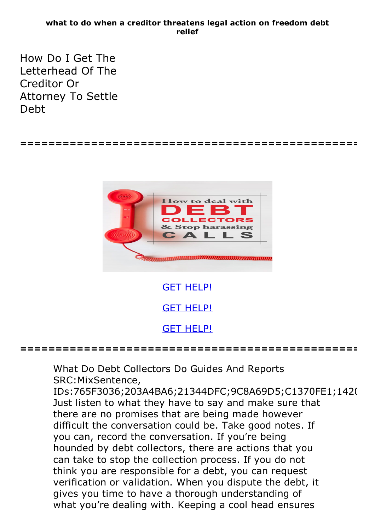## **what to do when a creditor threatens legal action on freedom debt relief**

How Do I Get The Letterhead Of The Creditor Or Attorney To Settle Debt





GET [HELP!](https://runpdf.xyz/pdf) GET [HELP!](https://runpdf.xyz/pdf) GET [HELP!](https://runpdf.xyz/pdf)

**================================================**

What Do Debt Collectors Do Guides And Reports SRC:MixSentence,

IDs:765F3036;203A4BA6;21344DFC;9C8A69D5;C1370FE1;1420 Just listen to what they have to say and make sure that there are no promises that are being made however difficult the conversation could be. Take good notes. If you can, record the conversation. If you're being hounded by debt collectors, there are actions that you can take to stop the collection process. If you do not think you are responsible for a debt, you can request verification or validation. When you dispute the debt, it gives you time to have a thorough understanding of what you're dealing with. Keeping a cool head ensures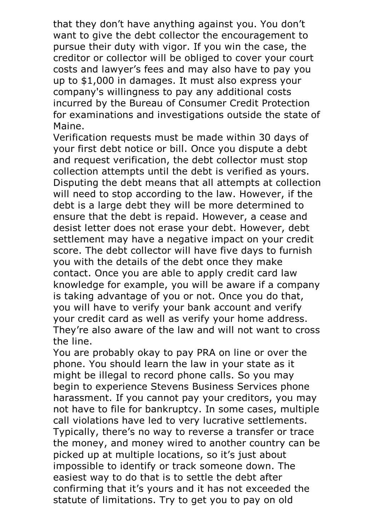that they don't have anything against you. You don't want to give the debt collector the encouragement to pursue their duty with vigor. If you win the case, the creditor or collector will be obliged to cover your court costs and lawyer's fees and may also have to pay you up to \$1,000 in damages. It must also express your company's willingness to pay any additional costs incurred by the Bureau of Consumer Credit Protection for examinations and investigations outside the state of Maine.<br>Verification requests must be made within 30 days of

your first debt notice or bill. Once you dispute a debt and request verification, the debt collector must stop collection attempts until the debt is verified as yours. Disputing the debt means that all attempts at collection will need to stop according to the law. However, if the debt is a large debt they will be more determined to ensure that the debt is repaid. However, a cease and desist letter does not erase your debt. However, debt settlement may have a negative impact on your credit score. The debt collector will have five days to furnish you with the details of the debt once they make contact. Once you are able to apply credit card law knowledge for example, you will be aware if a company is taking advantage of you or not. Once you do that, you will have to verify your bank account and verify your credit card as well as verify your home address. They're also aware of the law and will not want to cross

the line.<br>You are probably okay to pay PRA on line or over the phone. You should learn the law in your state as it might be illegal to record phone calls. So you may begin to experience Stevens Business Services phone harassment. If you cannot pay your creditors, you may not have to file for bankruptcy. In some cases, multiple call violations have led to very lucrative settlements. Typically, there's no way to reverse <sup>a</sup> transfer or trace the money, and money wired to another country can be picked up at multiple locations, so it's just about impossible to identify or track someone down. The easiest way to do that is to settle the debt after confirming that it's yours and it has not exceeded the statute of limitations. Try to get you to pay on old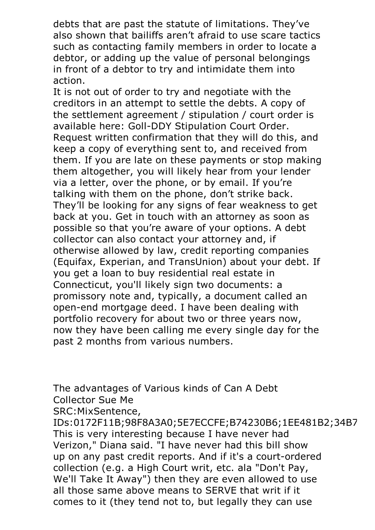debts that are past the statute of limitations. They've also shown that bailiffs aren't afraid to use scare tactics such as contacting family members in order to locate a debtor, or adding up the value of personal belongings in front of a debtor to try and intimidate them into action.

It is not out of order to try and negotiate with the creditors in an attempt to settle the debts. A copy of the settlement agreement / stipulation / court order is available here: Goll-DDY Stipulation Court Order. Request written confirmation that they will do this, and keep a copy of everything sent to, and received from them. If you are late on these payments or stop making them altogether, you will likely hear from your lender via a letter, over the phone, or by email. If you're talking with them on the phone, don't strike back. They'll be looking for any signs of fear weakness to get back at you. Get in touch with an attorney as soon as possible so that you're aware of your options. A debt collector can also contact your attorney and, if otherwise allowed by law, credit reporting companies (Equifax, Experian, and TransUnion) about your debt. If you get a loan to buy residential real estate in Connecticut, you'll likely sign two documents: a promissory note and, typically, a document called an open-end mortgage deed. I have been dealing with portfolio recovery for about two or three years now, now they have been calling me every single day for the past 2 months from various numbers.

The advantages of Various kinds of Can A Debt Collector Sue Me SRC:MixSentence,

IDs:0172F11B;98F8A3A0;5E7ECCFE;B74230B6;1EE481B2;34B7 This is very interesting because I have never had Verizon," Diana said. "I have never had this bill show up on any past credit reports. And if it's a court-ordered collection (e.g. a High Court writ, etc. ala "Don't Pay, We'll Take It Away") then they are even allowed to use all those same above means to SERVE that writ if it comes to it (they tend not to, but legally they can use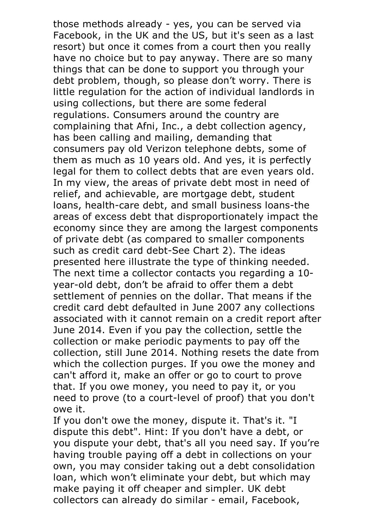those methods already - yes, you can be served via Facebook, in the UK and the US, but it's seen as a last resort) but once it comes from a court then you really have no choice but to pay anyway. There are so many things that can be done to support you through your debt problem, though, so please don't worry. There is little regulation for the action of individual landlords in using collections, but there are some federal regulations. Consumers around the country are complaining that Afni, Inc., a debt collection agency, has been calling and mailing, demanding that consumers pay old Verizon telephone debts, some of them as much as 10 years old. And yes, it is perfectly legal for them to collect debts that are even years old. In my view, the areas of private debt most in need of relief, and achievable, are mortgage debt, student loans, health-care debt, and small business loans-the areas of excess debt that disproportionately impact the economy since they are among the largest components of private debt (as compared to smaller components such as credit card debt-See Chart 2). The ideas presented here illustrate the type of thinking needed. The next time <sup>a</sup> collector contacts you regarding <sup>a</sup> 10 year-old debt, don't be afraid to offer them a debt settlement of pennies on the dollar. That means if the credit card debt defaulted in June 2007 any collections associated with it cannot remain on a credit report after June 2014. Even if you pay the collection, settle the collection or make periodic payments to pay off the collection, still June 2014. Nothing resets the date from which the collection purges. If you owe the money and can't afford it, make an offer or go to court to prove that. If you owe money, you need to pay it, or you need to prove (to a court-level of proof) that you don't owe it.

If you don't owe the money, dispute it. That's it. "I dispute this debt". Hint: If you don't have a debt, or you dispute your debt, that's all you need say. If you're having trouble paying off a debt in collections on your own, you may consider taking out a debt consolidation loan, which won't eliminate your debt, but which may make paying it off cheaper and simpler. UK debt collectors can already do similar - email, Facebook,